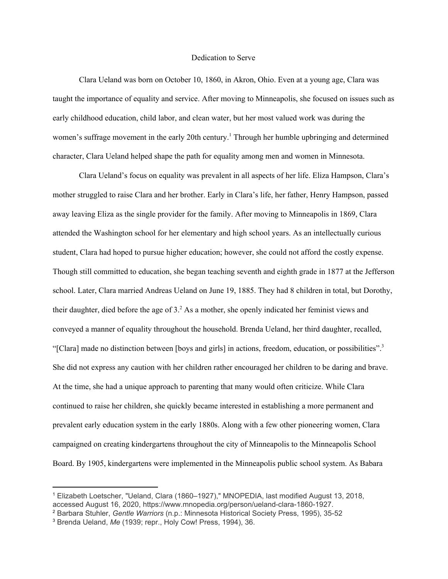## Dedication to Serve

Clara Ueland was born on October 10, 1860, in Akron, Ohio. Even at a young age, Clara was taught the importance of equality and service. After moving to Minneapolis, she focused on issues such as early childhood education, child labor, and clean water, but her most valued work was during the women's suffrage movement in the early 20th century.<sup>1</sup> Through her humble upbringing and determined character, Clara Ueland helped shape the path for equality among men and women in Minnesota.

Clara Ueland's focus on equality was prevalent in all aspects of her life. Eliza Hampson, Clara's mother struggled to raise Clara and her brother. Early in Clara's life, her father, Henry Hampson, passed away leaving Eliza as the single provider for the family. After moving to Minneapolis in 1869, Clara attended the Washington school for her elementary and high school years. As an intellectually curious student, Clara had hoped to pursue higher education; however, she could not afford the costly expense. Though still committed to education, she began teaching seventh and eighth grade in 1877 at the Jefferson school. Later, Clara married Andreas Ueland on June 19, 1885. They had 8 children in total, but Dorothy, their daughter, died before the age of  $3<sup>2</sup>$ . As a mother, she openly indicated her feminist views and conveyed a manner of equality throughout the household. Brenda Ueland, her third daughter, recalled, "[Clara] made no distinction between [boys and girls] in actions, freedom, education, or possibilities". 3 She did not express any caution with her children rather encouraged her children to be daring and brave. At the time, she had a unique approach to parenting that many would often criticize. While Clara continued to raise her children, she quickly became interested in establishing a more permanent and prevalent early education system in the early 1880s. Along with a few other pioneering women, Clara campaigned on creating kindergartens throughout the city of Minneapolis to the Minneapolis School Board. By 1905, kindergartens were implemented in the Minneapolis public school system. As Babara

<sup>1</sup> Elizabeth Loetscher, "Ueland, Clara (1860–1927)," MNOPEDIA, last modified August 13, 2018, accessed August 16, 2020, https://www.mnopedia.org/person/ueland-clara-1860-1927.

<sup>2</sup> Barbara Stuhler, *Gentle Warriors* (n.p.: Minnesota Historical Society Press, 1995), 35-52

<sup>3</sup> Brenda Ueland, *Me* (1939; repr., Holy Cow! Press, 1994), 36.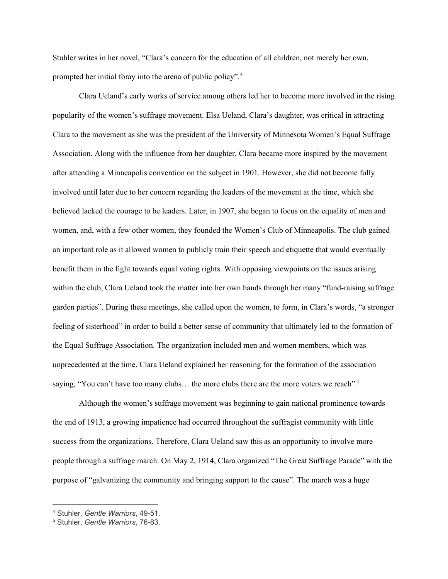Stuhler writes in her novel, "Clara's concern for the education of all children, not merely her own, prompted her initial foray into the arena of public policy". 4

Clara Ueland's early works of service among others led her to become more involved in the rising popularity of the women's suffrage movement. Elsa Ueland, Clara's daughter, was critical in attracting Clara to the movement as she was the president of the University of Minnesota Women's Equal Suffrage Association. Along with the influence from her daughter, Clara became more inspired by the movement after attending a Minneapolis convention on the subject in 1901. However, she did not become fully involved until later due to her concern regarding the leaders of the movement at the time, which she believed lacked the courage to be leaders. Later, in 1907, she began to focus on the equality of men and women, and, with a few other women, they founded the Women's Club of Minneapolis. The club gained an important role as it allowed women to publicly train their speech and etiquette that would eventually benefit them in the fight towards equal voting rights. With opposing viewpoints on the issues arising within the club, Clara Ueland took the matter into her own hands through her many "fund-raising suffrage garden parties". During these meetings, she called upon the women, to form, in Clara's words, "a stronger feeling of sisterhood" in order to build a better sense of community that ultimately led to the formation of the Equal Suffrage Association. The organization included men and women members, which was unprecedented at the time. Clara Ueland explained her reasoning for the formation of the association saying, "You can't have too many clubs... the more clubs there are the more voters we reach".<sup>5</sup>

Although the women's suffrage movement was beginning to gain national prominence towards the end of 1913, a growing impatience had occurred throughout the suffragist community with little success from the organizations. Therefore, Clara Ueland saw this as an opportunity to involve more people through a suffrage march. On May 2, 1914, Clara organized "The Great Suffrage Parade" with the purpose of "galvanizing the community and bringing support to the cause". The march was a huge

<sup>4</sup> Stuhler, *Gentle Warriors*, 49-51.

<sup>5</sup> Stuhler, *Gentle Warriors*, 76-83.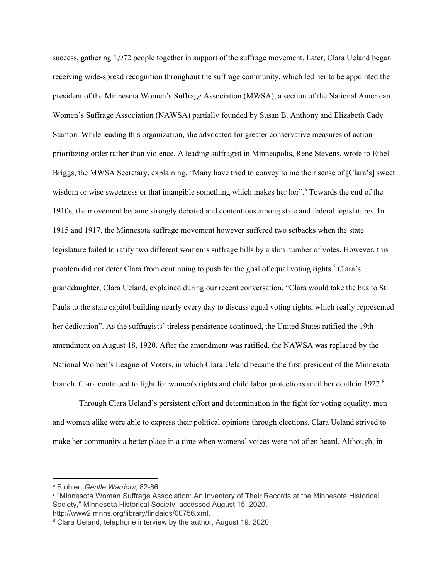success, gathering 1,972 people together in support of the suffrage movement. Later, Clara Ueland began receiving wide-spread recognition throughout the suffrage community, which led her to be appointed the president of the Minnesota Women's Suffrage Association (MWSA), a section of the National American Women's Suffrage Association (NAWSA) partially founded by Susan B. Anthony and Elizabeth Cady Stanton. While leading this organization, she advocated for greater conservative measures of action prioritizing order rather than violence. A leading suffragist in Minneapolis, Rene Stevens, wrote to Ethel Briggs, the MWSA Secretary, explaining, "Many have tried to convey to me their sense of [Clara's] sweet wisdom or wise sweetness or that intangible something which makes her her".<sup>6</sup> Towards the end of the 1910s, the movement became strongly debated and contentious among state and federal legislatures. In 1915 and 1917, the Minnesota suffrage movement however suffered two setbacks when the state legislature failed to ratify two different women's suffrage bills by a slim number of votes. However, this problem did not deter Clara from continuing to push for the goal of equal voting rights.<sup>7</sup> Clara's granddaughter, Clara Ueland, explained during our recent conversation, "Clara would take the bus to St. Pauls to the state capitol building nearly every day to discuss equal voting rights, which really represented her dedication". As the suffragists' tireless persistence continued, the United States ratified the 19th amendment on August 18, 1920. After the amendment was ratified, the NAWSA was replaced by the National Women's League of Voters, in which Clara Ueland became the first president of the Minnesota branch. Clara continued to fight for women's rights and child labor protections until her death in 1927.<sup>8</sup>

Through Clara Ueland's persistent effort and determination in the fight for voting equality, men and women alike were able to express their political opinions through elections. Clara Ueland strived to make her community a better place in a time when womens' voices were not often heard. Although, in

<sup>6</sup> Stuhler, *Gentle Warriors*, 82-86.

<sup>7</sup> "Minnesota Woman Suffrage Association: An Inventory of Their Records at the Minnesota Historical Society," Minnesota Historical Society, accessed August 15, 2020, http://www2.mnhs.org/library/findaids/00756.xml.

<sup>8</sup> Clara Ueland, telephone interview by the author, August 19, 2020.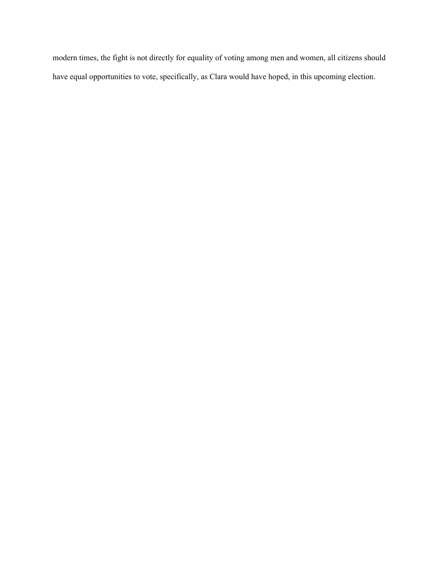modern times, the fight is not directly for equality of voting among men and women, all citizens should have equal opportunities to vote, specifically, as Clara would have hoped, in this upcoming election.